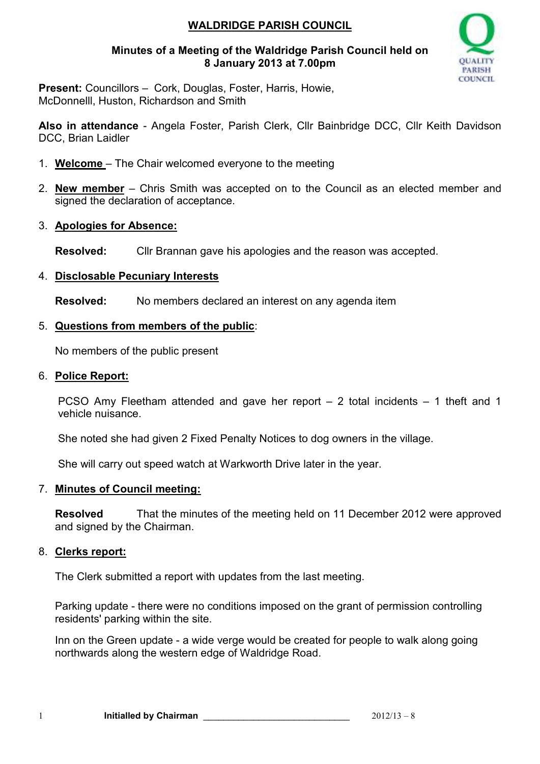## **WALDRIDGE PARISH COUNCIL**

### **Minutes of a Meeting of the Waldridge Parish Council held on 8 January 2013 at 7.00pm**



**Present:** Councillors – Cork, Douglas, Foster, Harris, Howie, McDonnelll, Huston, Richardson and Smith

**Also in attendance** - Angela Foster, Parish Clerk, Cllr Bainbridge DCC, Cllr Keith Davidson DCC, Brian Laidler

- 1. **Welcome**  The Chair welcomed everyone to the meeting
- 2. **New member** Chris Smith was accepted on to the Council as an elected member and signed the declaration of acceptance.
- 3. **Apologies for Absence:**

**Resolved:** Cllr Brannan gave his apologies and the reason was accepted.

### 4. **Disclosable Pecuniary Interests**

**Resolved:** No members declared an interest on any agenda item

### 5. **Questions from members of the public**:

No members of the public present

#### 6. **Police Report:**

PCSO Amy Fleetham attended and gave her report – 2 total incidents – 1 theft and 1 vehicle nuisance.

She noted she had given 2 Fixed Penalty Notices to dog owners in the village.

She will carry out speed watch at Warkworth Drive later in the year.

### 7. **Minutes of Council meeting:**

**Resolved** That the minutes of the meeting held on 11 December 2012 were approved and signed by the Chairman.

### 8. **Clerks report:**

The Clerk submitted a report with updates from the last meeting.

Parking update - there were no conditions imposed on the grant of permission controlling residents' parking within the site.

Inn on the Green update - a wide verge would be created for people to walk along going northwards along the western edge of Waldridge Road.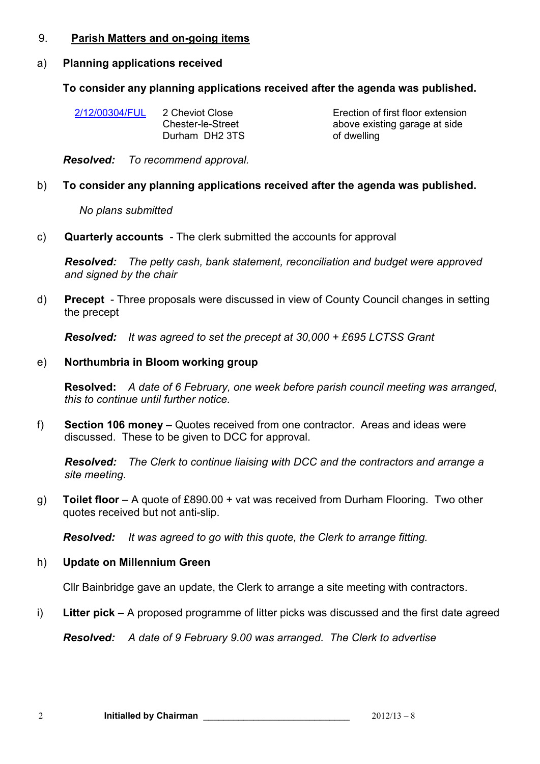#### 9. **Parish Matters and on-going items**

## a) **Planning applications received**

## **To consider any planning applications received after the agenda was published.**

| 2/12/00304/FUL | 2 Cheviot Close<br>Chester-le-Street<br>Durham DH2 3TS | Erection of fir<br>above existin<br>of dwelling |
|----------------|--------------------------------------------------------|-------------------------------------------------|
|                |                                                        |                                                 |

rst floor extension g garage at side

*Resolved: To recommend approval.*

# b) **To consider any planning applications received after the agenda was published.**

## *No plans submitted*

c) **Quarterly accounts** - The clerk submitted the accounts for approval

*Resolved: The petty cash, bank statement, reconciliation and budget were approved and signed by the chair* 

d) **Precept** - Three proposals were discussed in view of County Council changes in setting the precept

*Resolved: It was agreed to set the precept at 30,000 + £695 LCTSS Grant* 

# e) **Northumbria in Bloom working group**

**Resolved:** *A date of 6 February, one week before parish council meeting was arranged, this to continue until further notice.* 

f) **Section 106 money –** Quotes received from one contractor. Areas and ideas were discussed. These to be given to DCC for approval.

*Resolved: The Clerk to continue liaising with DCC and the contractors and arrange a site meeting.*

g) **Toilet floor** – A quote of £890.00 + vat was received from Durham Flooring. Two other quotes received but not anti-slip.

*Resolved: It was agreed to go with this quote, the Clerk to arrange fitting.*

# h) **Update on Millennium Green**

Cllr Bainbridge gave an update, the Clerk to arrange a site meeting with contractors.

i) **Litter pick** – A proposed programme of litter picks was discussed and the first date agreed

*Resolved: A date of 9 February 9.00 was arranged. The Clerk to advertise*